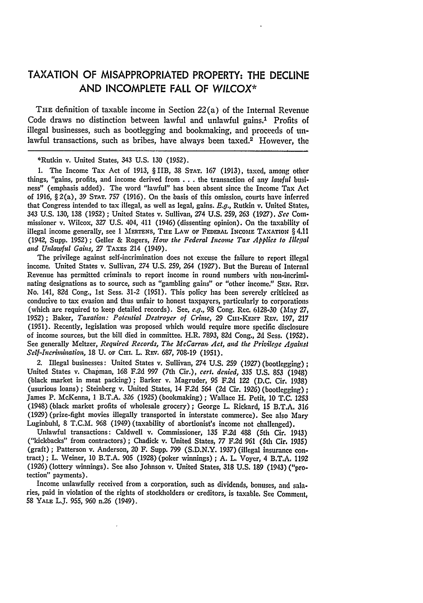## **TAXATION** OF MISAPPROPRIATED PROPERTY: THE **DECLINE AND INCOMPLETE** FALL OF *WILCOX\**

THE definition of taxable income in Section  $22(a)$  of the Internal Revenue Code draws no distinction between lawful and unlawful gains.<sup>1</sup> Profits of illegal businesses, such as bootlegging and bookmaking, and proceeds of unlawful transactions, such as bribes, have always been taxed.<sup>2</sup> However, the

\*Rutkin v. United States, 343 U.S. 130 (1952).

**1.** The Income Tax Act of 1913, §IIB, 38 **STAT.** 167 (1913), taxed, among other things, "gains, profits, and income derived from  $\dots$  the transaction of any lawful business" (emphasis added). The word "lawful" has been absent since the Income Tax Act of 1916, § 2(a), 39 **STAT.** *757* (1916). On the basis of this omission, courts have inferred that Congress intended to tax illegal, as well as legal, gains. E.g., Rutkin v. United States, 343 U.S. 130, 138 (1952) ; United States v. Sullivan, 274 U.S. 259, 263 *(1927). See* Commissioner v. Wilcox, *327* U.S. 404, 411 (1946) (dissenting opinion). On the taxability of illegal income generally, see 1 MERTENS, THE LAW OF FEDERAL INCOME TAXATION § 4.11 (1942, Supp. **1952)** ; Geller & Rogers, *How the Federal Incone Tax Applies to Illegal and Unlawful Gains, 27* TAxES 214 (1949).

The privilege against self-incrimination does not excuse the failure to report illegal income. United States v. Sullivan, *274* U.S. **259,** 264 (1927). But the Bureau of Internal Revenue has permitted criminals to report income in round numbers with non-incrimi. nating designations as to source, such as "gambling gains" or "other income." **SEN.** Rr',. No. 141, 82d Cong., 1st Sess. 31-2 (1951). This policy has been severely criticized as conducive to tax evasion and thus unfair to honest taxpayers, particularly to corporations (which are required to keep detailed records). See, *e.g.,* 98 Cong. Rec. 6128-30 (May 27, 1952); Baker, *Taxation: Potential Destroyer of Crime*, 29 CIII-KENT REV. 197, 217 (1951). Recently, legislation was proposed which would require more specific disclosure of income sources, but the bill died in committee. H.R. *7893,* 82d Cong., 2d Sess. (1952). See generally Meltzer, *Required Records, The McCarran Act, and the Privilege Againsl Self-Incrimination,* 18 U. OF **Cur.** L. Rxv. 687, 708-19 (1951).

2. Illegal businesses: United States v. Sullivan, 274 U.S. **259** (1927) (bootlegging); United States v. Chapman, 168 F.2d 997 (7th Cir.), *cert. denied,* **335** U.S. **853** (1948) (black market in meat packing) ; Barker v. Magruder, 95 F.2d 122 (D.C. Cir. 1938) (usurious loans) ; Steinberg v. United States, 14 F.2d 564 **(2d** Cir. 1926) (bootlegging) **;** James P. McKenna, 1 B.T.A. **326** (1925) (bookmaking); Wallace H. Petit, 10 **T.C. 1253** (1948) (black market profits of wholesale grocery); George L. Rickard, 15 B.T.A. **316** (1929) (prize-fight movies illegally transported in interstate commerce). **See** also Mary Luginbuhl, 8 T.C.M. **968** (1949) (taxability of abortionist's income not challenged).

Unlawful transactions: Caldwell v. Commissioner, **135** F.2d 488 (5th Cir. 1943) ("kickbacks" from contractors) ; Chadick v. United States, 77 F.2d 961 (5th Cir. 1935) (graft) ; Patterson v. Anderson, 20 F. Supp. 799 (S.D.N.Y. 1937) (illegal insurance contract); L. Weiner, 10 B.T.A. **905** (1928) (poker winnings); A. L. Voyer, 4 B.T.A. 1192 (1926) (lottery winnings). See also Johnson v. United States, **318** U.S. 189 (1943) ("protection" payments).

Income unlawfully received from a corporation, such as dividends, bonuses, and salaries, paid in violation of the rights of stockholders or creditors, is taxable. See Comment, 58 **YALE** L.J. 955, 960 n.26 (1949).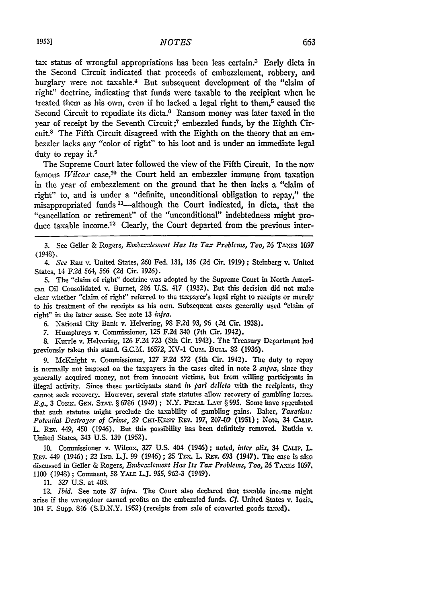tax status of wrongful appropriations has been less certain. $3$  Early dicta in the Second Circuit indicated that proceeds of embezzlement, robbery, and burglary were not taxable.4 But subsequent development of the "claim of right" doctrine, indicating that funds were taxable to the recipient when he treated them as his own, even if he lacked a legal right to them, $5$  caused the Second Circuit to repudiate its dicta.<sup>6</sup> Ransom money was later taxed in the year of receipt by the Seventh Circuit;<sup>7</sup> embezzled funds, by the Eighth Circuit.8 The Fifth Circuit disagreed with the Eighth on the theory that an embezzler lacks any "color of right" to his loot and is under an immediate legal duty to repay it.<sup>9</sup>

The Supreme Court later followed the view of the Fifth Circuit. In the now famous *Wilcox* case,<sup>10</sup> the Court held an embezzler immune from taxation in the year of embezzlement on the ground that he then lacks a "claim of right" to, and is under a "definite, unconditional obligation to repay," the misappropriated funds<sup>11</sup>—although the Court indicated, in dicta, that the "cancellation or retirement" of the "unconditional" indebtedness might produce taxable income.<sup>12</sup> Clearly, the Court departed from the previous inter-

**3.** See Geller **&** Rogers, *Embezzlement Has Its Tax Problkm, Too,* 26 **TAXES 1097** (1948).

*4. See* Rau v. United States, **260** Fed. 131, **136 (2d** Cir. **1919) ;** Steinberg v. United States, 14 **F.2d** 564, **566 (2d** Cir. **1926).**

**5.** The "claim of right" doctrine was adopted **by** the Supreme Court in North American Oil Consolidated v. Burnet, **286 U.S.** 417 **(1932).** But this decision did not make clear whether "claim of right" referred to the taxpayer's legal right to receipts or merely to his treatment of the receipts as his own. Subsequent cases generally used "claim of right" in the latter sense. See note 13 *infra*.

**6.** National City Bank v. Helvering, **9S** F.2d **93, 96** *(2d* Cir. **1933).**

7. Humphreys v. Commissioner, **125 F.2d** 340 (7th Cir. 1942).

**8.** Kurrle v. Helvering, 126 **F.2d 723** (Sth Cir. 1942). The Treasury Department had previously taken this stand. **G.C.M. 16572,** XV-1 Cum. BunL **82** (1936).

9. McKnight v. Commissioner, **127 F.2d 572** (5th Cir. 1942). The duty to repay is normally not imposed on the taxpayers in the cases cited in note 2 *supra*, since they generally acquired money, not from innocent victims, but from willing participants in illegal activity. Since these participants stand *in pari delicto* with the recipients, they cannot seek recovery. However, several state statutes allow recovery of gambling losses. *E.g.,* **3** *CoNN.* **GEN. STAT.** § 6786 (1949) **;** N.Y. **PN.'%,** *Ltw* § 995. Some have speculated that such statutes might preclude the taxability of gambling gains. Baker, *Taxaisz: Potential Destroyer of Crime, 29 CHI-KENT REV. 197, 207-09 (1951); Note, 34 CALIF.* L. **REv.** 449, 450 (1946). But this possibility has been definitely removed. Rutkin v. United States, 343 **U.S. 130 (1952).**

10. Commissioner v. Wilcox, 327 U.S. 404 (1946); noted, *inter alia*, 34 CALIF. L. REv. 449 (1946); **22 IND.** L.J. 99 (1946); **25 TEx.** L. **REv. 693** (1947). The case is also discussed in Geller **&** Rogers, *Embezzlement Has Its Tax Problems, Too, 26* **TAxs 1097, 1100** (1948) **;** Comment, 53 YAi.E **.J. 955, 962-3** (1949).

**11. 327 U.S.** at 408.

12. *Ibid.* See note **37** *infra.* The Court also declared that taxable income might arise if the wrongdoer earned profits on the embezzled funds. *Cf.* United States v. **Iozia,** 104 *F.* Supp. 846 **(S.D.N.Y. 1952)** (receipts from sale of converted goads taxed).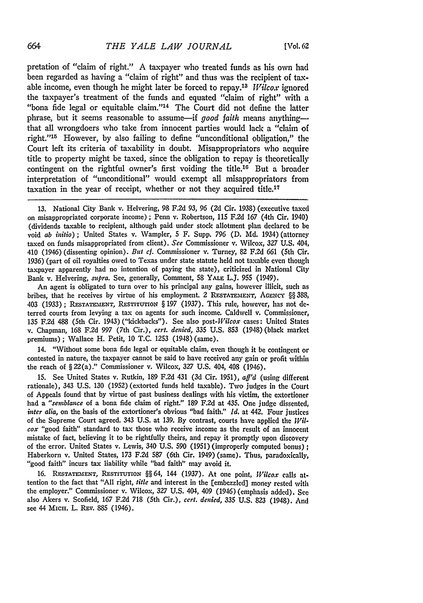pretation of "claim of right." A taxpayer who treated funds as his own had been regarded as having a "claim of right" and thus was the recipient of taxable income, even though he might later be forced to repay.18 *Wilcox* ignored the taxpayer's treatment of the funds and equated "claim of right" with a "bona fide legal or equitable claim."<sup>14</sup> The Court did not define the latter phrase, but it seems reasonable to assume-if *good faith* means anythingthat all wrongdoers who take from innocent parties would lack a "claim of right."<sup>15</sup> However, by also failing to define "unconditional obligation." the Court left its criteria of taxability in doubt. Misappropriators who acquire title to property might be taxed, since the obligation to repay is theoretically contingent on the rightful owner's first voiding the title.<sup>16</sup> But a broader interpretation of "unconditional" would exempt all misappropriators from taxation in the year of receipt, whether or not they acquired title.17

**13.** National City Bank v. Helvering, 98 F.2d *93, 96* **(2d** Cir. 1938) (executive taxed on misappropriated corporate income) ; Penn v. Robertson, 115 F.2d 167 (4th Cir. 1940) (dividends taxable to recipient, although paid under stock allotment plan declared to be void *ab initio)* ; United States v. Wampler, 5 F. Supp. 796 **(D. Md.** 1934) (attorney taxed on funds misappropriated from client). *See* Commissioner v. Wilcox, 327 U.S. 404, 410 (1946) (dissenting opinion). *But cf.* Commissioner v. Turney, 82 **F.2d** 661 (5th Cir. 1936) (part of oil royalties owed to Texas under state statute held not taxable even though taxpayer apparently had no intention of paying the state), criticized in National City Bank v. Helvering, *supra*. See, generally, Comment, 58 YALE L.J. 955 (1949).

An agent is obligated to turn over to his principal any gains, however illicit, such as bribes, that he receives **by** virtue of his employment. 2 **RESTATEMENT, AGENCY** §§ 388, 403 (1933) ; RESTATIENT, **RESTITUTION** § 197 (1937). This rule, however, has not deterred courts from levying a tax on agents for such income. Caldwell v. Commissioner, 135 F.2d 488 (5th Cir. 1943) ("kickbacks"). See also *post-Wilcox* cases: United States v. Chapman, 168 F.2d 997 (7th Cir.), *cert. denied,* **335 U.S.** 853 (1948) (black market premiums); Wallace H. Petit, 10 **T.C.** 1253 (1948) (same).

14. "Without some bona fide legal or equitable claim, even though it be contingent or contested in nature, the taxpayer cannot be said to have received any gain or profit within the reach of § 22(a)." Commissioner v. Wilcox, **327 U.S.** 404, 408 (1946).

**15.** See United States v. Rutkin, 189 F.2d 431 **(3d** Cir. 1951), *aff'd* (using different rationale), 343 U.S. 130 (1952) (extorted funds held taxable). Two judges in the Court of Appeals found that by virtue of past business dealings with his victim, the extortioner had a *"semblance* of a bona fide claim of right." 189 F.2d at 435. One judge dissented, *inter alia,* on the basis of the extortioner's obvious "bad faith." *Id.* at 442. Four justices of the Supreme Court agreed. 343 U.S. at 139. By contrast, courts have applied the Wil*cox* "good faith" standard to tax those who receive income as the result of an innocent mistake of fact, believing it to be rightfully theirs, and repay it promptly upon discovery of the error. United States v. Lewis, 340 U.S. 590 (1951) (improperly computed bonus) **;** Haberkorn v. United States, **173** F.2d **587** (6th Cir. 1949) (same). Thus, paradoxically, "good faith" incurs tax liability while "bad faith" may avoid it.

16. RESTATEMENT, RESTITUTION §§64, 144 (1937). At one point, *Wilcox* calls attention to the fact that "All right, *title* and interest in the (embezzled] money rested with the employer." Commissioner v. Wilcox, **327** U.S. 404, 409 (1946) (emphasis added), **See** also Akers v. Scofield, **167** F.2d 718 (5th Cir.), *cert. denied,* **335 U.S. 823** (1948). And see 44 MICH. L. REV. 885 (1946).

664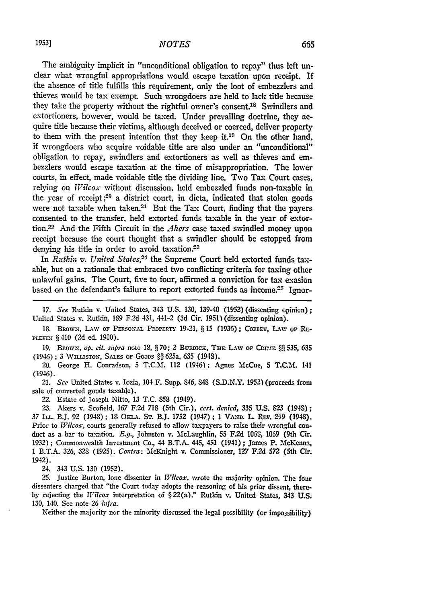The ambiguity implicit in "unconditional obligation to repay" thus left unclear what wrongful appropriations would escape taxation upon receipt. **If** the absence of title fulfills this requirement, only the loot of embezzlers and thieves would be tax exempt. Such wrongdoers are held to lack title because they take the property without the rightful owner's consent.<sup>18</sup> Swindlers and extortioners, however, would be taxed. Under prevailing doctrine, they acquire title because their victims, although deceived or coerced, deliver property to them with the present intention that they keep it.10 On the other hand, if wrongdoers who acquire voidable title are also under an "unconditional" obligation to repay, swindlers and extortioners as well as thieves and embezzlers would escape taxation at the time of misappropriation. The lower courts, in effect, made voidable title the dividing line. Two Tax Court cases, relying on *TWilcox* without discussion, held embezzled funds non-taxable in the year of receipt **;20** a district court, in dicta, indicated that stolen goods were not taxable when taken.<sup>21</sup> But the Tax Court, finding that the payers consented to the transfer, held extorted funds taxable in the year of extortion.22 And the Fifth Circuit in the *Akers* case taxed swindled money upon receipt because the court thought that a swindler should be estopped from denying his title in order to avoid taxation.<sup>21</sup>

In *Rutkin v. United States*,<sup>24</sup> the Supreme Court held extorted funds taxable, but on a rationale that embraced two conflicting criteria for taxing other unlawful gains. The Court, five to four, affirmed a conviction for tax exasion based on the defendant's failure to report extorted funds as income.<sup>25</sup> Ignor-

*17. See* Rutkin v. United States, 343 U.S. 130, 139-40 (1952) (dissenting opinion); United States v. Rutkin, 189 F.2d 431, 441-2 **(3d** Cir. 1951) (dissenting opinion).

18. BROWN, LAW OF PERSONAL PROPERTY 19-21, § 15 (1936); CORDEY, LAW OF RE-PLEVIN §410 (2d ed. 1900).

**19.** Brown, *op. cit. supra* note 18, §70; 2 BURDICK, THE LAW OF CRIME §§535, 635 (1946) ; **3** WVu.sToNz, **SALES oF** GooDs §§ 625a, **635** (194S).

20. George H. Conradson, **5** T.C.M. 112 (1946); Agnes McCue, **S T.C.M.** 141 (1946).

21. *See* United States v. Iozia, 104 F. Supp. 846, **84S** (S.D.N.Y. **1952)** (proceeds from sale of converted goods taxable).

22. Estate of Joseph Nitto, **13** T.C. **853** (1949).

23. Akers v. Scofield, 167 F.2d 718 (5th Cir.), *cert. denied*, 335 U.S. 823 (1948); 37 **IL.** B.J. 92 (1948); **18** Om.A. **ST.** B.J. **1752** (1947); **1** VAiD. L R.v. 299 (1943). Prior to *Wilcox,* courts generally refused to allow taxpayers to raise their wrongful conduct as a bar to taxation. *E.g.,* Johnston **v.** McLaughlin, 55 *F2d 10GS,* **IC69** (9th Cir. 1932) ; Commonwealth Investment Co., 44 B.T.A. 445, 451 (1941) ; James P. MeKenna, **1** B.T.A. 326, 328 (1925). *Contra:* McKnight v. Commissioner, 127 F.2d **572** (5th Cir. 1942).

24. 343 U.S. **130** (1952).

25. Justice Burton, lone dissenter in *lVilcox.* wrote the majority opinion. The four dissenters charged that "the Court today adopts the reasoning of his prior dissent, there**by** rejecting the *Vilcox* interpretation of §22(a)." Rutkin v. United States, 343 **U.S.** 130, 140. See note 26 *infra.*

Neither the majority nor the minority discussed the legal possibility (or impossibility)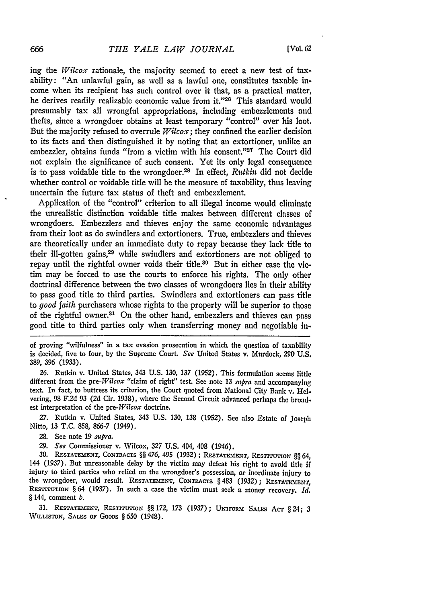ing the *Wilcox* rationale, the majority seemed to erect a new test of taxability: "An unlawful gain, as well as a lawful one, constitutes taxable income when its recipient has such control over it that, as a practical matter, **he** derives readily realizable economic value from **it."' <sup>20</sup>**This standard would presumably tax all wrongful appropriations, including embezzlements and thefts, since a wrongdoer obtains at least temporary "control" over his loot. But the majority refused to overrule *Wilcox;* they confined the earlier decision to its facts and then distinguished it **by** noting that an extortioner, unlike an embezzler, obtains funds "from a victim with his consent."<sup>27</sup> The Court did not explain the significance of such consent. Yet its only legal consequence is to pass voidable title to the wrongdoer.28 In effect, *Rittkin* did not decide whether control or voidable title will be the measure of taxability, thus leaving uncertain the future tax status of theft and embezzlement.

Application of the "control" criterion to all illegal income would eliminate the unrealistic distinction voidable title makes between different classes of wrongdoers. Embezzlers and thieves enjoy the same economic advantages from their loot as do swindlers and extortioners. True, embezzlers and thieves are theoretically under an immediate duty to repay because they lack title to their ill-gotten gains,<sup>29</sup> while swindlers and extortioners are not obliged to repay until the rightful owner voids their title.<sup>80</sup> But in either case the victim may be forced to use the courts to enforce his rights. The only other doctrinal difference between the two classes of wrongdoers lies in their ability to pass good title to third parties. Swindlers and extortioners can pass title to *good faith* purchasers whose rights to the property will be superior to those of the rightful owner.<sup>31</sup> On the other hand, embezzlers and thieves can pass good title to third parties only when transferring money and negotiable in-

of proving "wilfulness" in a tax evasion prosecution in which the question of taxability is decided, five to four, **by** the Supreme Court. *See* United States v. Murdock, **290 U.S. 389, 396 (1933).**

**26.** Rutkin v. United States, 343 **U.S. 130,** *137* **(1952).** This formulation seems little different from the *pre-Wilcox* "claim of right" test. See note **13** *supra* and accompanying text. In fact, to buttress its criterion, the Court quoted from National City Bank v. **Hel**vering, **98 F.2d 93 (2d** Cir. **1938),** where the Second Circuit advanced perhaps the broadest interpretation of the *pre-Wilcox* doctrine.

**27.** Rutkin v. United States, 343 **U.S. 130, 138 (1952).** See also Estate of Joseph Nitto, **13 T.C. 858,** *866-7* (1949).

28. See note **19** *sutpra.*

*29. See* Commissioner v. Wilcox, **327 U.S.** 404, 408 (1946).

**30. RESTATEMENT, CoNTRAcTs §§** *476,* 495 **(1932) ; RESTATEMENT, REsTrrOTIO N §§** 64, 144 **(1937).** But unreasonable delay **by** the victim may defeat his right to avoid title if injury to third parties who relied on the wrongdoer's possession, or inordinate injury to the wrongdoer, would result. RESTATEMENT, CONTRACTS § 483 (1932); RESTATEMENT, **RESTITUTION §** 64 **(1937).** In such a case the victim must seek a money recovery. *Id,* **§** 144, comment *b.*

**31. RESTATEMENT, REsTiTuTioN §§** *172,* **173 (1937); UNIFORM** SAILs *AcT* **§** 24; *3* **WILLISTON, SALES OF GOODS § 650** (1948).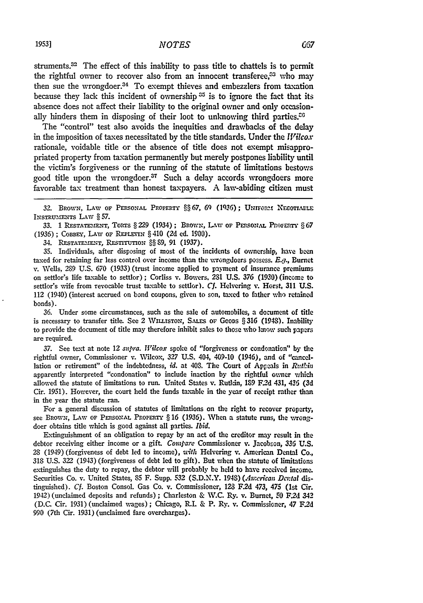struments.<sup>32</sup> The effect of this inability to pass title to chattels is to permit the rightful owner to recover also from an innocent transferee.<sup>33</sup> who may then sue the wrongdoer.<sup>34</sup> To exempt thieves and embezzlers from taxation because they lack this incident of ownership **35** is to ignore the fact that its absence does not affect their liability to the original owner and only occasionally hinders them in disposing of their loot to unknowing third parties.<sup>20</sup>

The "control" test also avoids the inequities and drawbacks of the delay in the imposition of taxes necessitated by the title standards. Under the *Vilcox* rationale, voidable title or the absence of title does not exempt misappropriated property from taxation permanently but merely postpones liability until the victim's forgiveness or the running of the statute of limitations bestows good title upon the wrongdoer.<sup>37</sup> Such a delay accords wrongdoers more favorable tax treatment than honest taxpayers. A law-abiding citizen must

32. BROWN, LAW OF PERSONAL PROPERTY §§67, 69 (1936); UNIFORM NECOTIABLE INsTRuMENTs LAW § 57.

33. 1 RESTATEMENT, TORTS § 229 (1934) ; BROWN, LAW OF PERSONAL PROFERTY § 67 (1936); COBBEY, LAW OF REPLEVIN § 410 (2d ed. 1900).

34. RESTATEMENT, RESTITUTION  $\S$ § 89, 91 (1937).

35. Individuals, after disposing of most of the incidents of ownership, have been taxed for retaining far less control over income than the wrongdoers possess. **E.g.,** Burnet v. Wells, 289 U.S. 670 (1933) (trust income applied to payment of insurance premiums on settlor's life taxable to settlor) ; Corliss v. Bowers, 281 U.S. *376* (1930) (income to settlor's wife from revocable trust taxable to settor). *Cf.* Helvering **v.** Horst, 311 U.S. 112 (1940) (interest accrued on bond coupons, given to son, taxed to father who retained bonds).

36. Under some circumstances, such as the sale of automobiles, a document of title is necessary to transfer title. See *2* WiLLISTON, SA.L.s OF GooDs § **316** (1948). Inability to provide the document of title may therefore inhibit sales to those who know such papers are required.

**37.** See text at note 12 *supra. Wilcox* spoke of "forgiveness or condonation" by the rightful owner, Commissioner v. Wilcox, 327 U.S. 404, 409-10 (1946), and of "cancellation or retirement" of the indebtedness, *id.* at 408. The Court of Appeals in *Ruthin* apparently interpreted "condonation" to include inaction by the rightful owner which allowed the statute of limitations to run. United States v. Rutkin, 189 F2d 431, *435* **(3d** Cir. 1951). However, the court held the funds taxable in the year of receipt rather than in the year the statute ran.

For a general discussion of statutes of limitations on the right to recover property, see BROWN, LAW OF PERSONAL PROPERTY § 16 (1936). When a statute runs, the wrongdoer obtains title which is good against all parties. *Ibid.*

Extinguishment of an obligation to repay by an act of the creditor may result in the debtor receiving either income or a gift. *Conipare* Commissioner v. Jacobson, **336** U.S. 28 (1949) (forgiveness of debt led to income), uith Helvering **,.** American Dental Co., 318 U.S. **322** (1943) (forgiveness of debt led to gift). But when the statute of limitations extinguishes the duty to repay, the debtor will probably be held to have received income. Securities Co. v. United States, 85 F. Supp. 532 (S.D.N.Y. 1948) (American Dental distinguished). *Cf.* Boston Consol. Gas Co. v. Commissioner, **123** F.2d 473, 475 (1st Cir. 1942) (unclaimed deposits and refunds); Charleston & W.C. Ry. v. Burnet, **50** *F2d* 342 (D.C. Cir. 1931) (unclaimed wages); Chicago, R.I. & P. Ry. v. Commissioner, 47 F2d 990 (7th Cir. 1931) (unclaimed fare overcharges).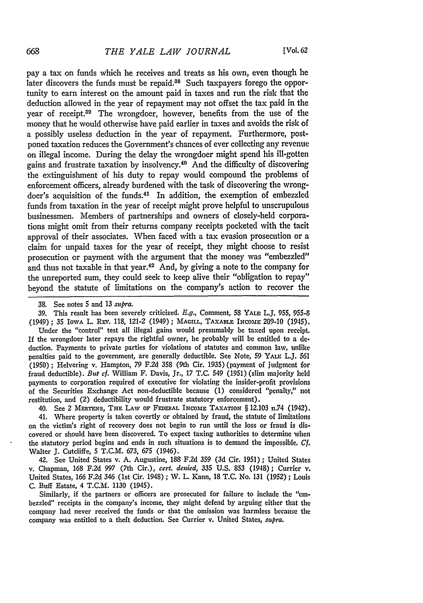[Vol, 62

pay a tax on funds which he receives and treats as his own, even though he later discovers the funds must be repaid.<sup>38</sup> Such taxpayers forego the opportunity to earn interest on the amount paid in taxes and run the risk that the deduction allowed in the year of repayment may not offset the tax paid in the year of receipt.<sup>39</sup> The wrongdoer, however, benefits from the use of the money that he would otherwise have paid earlier in taxes and avoids the risk of a possibly useless deduction in the year of repayment. Furthermore, postponed taxation reduces the Government's chances of ever collecting any revenue on illegal income. During the delay the wrongdoer might spend his ill-gotten gains and frustrate taxation by insolvency.<sup>40</sup> And the difficulty of discovering the extinguishment of his duty to repay would compound the problems of enforcement officers, already burdened with the task of discovering the wrongdoer's acquisition of the funds.41 In addition, the exemption of embezzled funds from taxation in the year of receipt might prove helpful to unscrupulous businessmen. Members of partnerships and owners of closely-held corporations might omit from their returns company receipts pocketed with the tacit approval of their associates. When faced with a tax evasion prosecution or a claim for unpaid taxes for the year of receipt, they might choose to resist prosecution or payment with the argument that the money was "embezzled" and thus not taxable in that year.42 And, **by** giving a note to the company for the unreported sum, they could seek to keep alive their "obligation to repay" beyond the statute of limitations on the company's action to recover the

**39.** This result has been severely criticized. **E.g.,** Comment, **58** YALE **L.J,** 955, *955-8* (1949); 35 IOwA L. Rsv. **118,** 121-2 (1949); **MAGILL, TAXAL INcomE 209-10** (1945). Under the "control" test all illegal gains would presumably **be** taxed upon receipt. If the wrongdoer later repays the rightful owner, he probably will **be** entitled to a **de**duction. Payments to private parties for violations of statutes and common law, unlike

penalties paid to the government, are generally deductible. See Note, 59 YALE L.J, *561* **(1950)** ; Helvering v. Hampton, **79 F.2d 358** (9th Cir. **1935)** (payment of judgment for fraud deductible). *But cf.* William F. Davis, Jr., **17 T.C.** 549 (1951) (slim majority held payments to corporation required of executive for violating the insider-profit provisions of the Securities Exchange Act non-deductible because **(1)** considered "penalty," not restitution, and (2) deductibility would frustrate statutory enforcement).

40. See 2 MERTENS, THE LAW OF FEDERAL INCOME TAXATION § 12.103 n.74 (1942).

41. Where property is taken covertly or obtained **by** fraud, the statute of limitations on the victim's right of recovery does not begin to run until the loss or fraud **is** discovered or should have been discovered. To expect taxing authorities to determine when the statutory period begins and ends in such situations is to demand the impossible, *C1.* Walter **J.** Cutcliffe, **5** T.C.M. **673, 675** (1946).

42. See United States v. **A.** Augustine, **188 F.2d 359 (3d** Cir. **1951) ;** United States v. Chapman, 168 F.2d 997 (7th Cir.), *cert. denied,* **335 U.S. 853** (1948); Currier **v.** United States, *166* F.2d 346 (1st Cir. 1948) ; W. L. Kann, 18 T.C. *No.* 131 (1952); Louis C. Buff Estate, 4 T.C.M. 1130 (1945).

Similarly, if the partners or officers are prosecuted for failure to include the "embezzled" receipts in the company's income, they might defend by arguing either that the company had never received the funds or that the omission was harmless because the company was entitled to a theft deduction. See Currier v. United States, *supra.*

**<sup>38.</sup>** See notes 5 and 13 supra.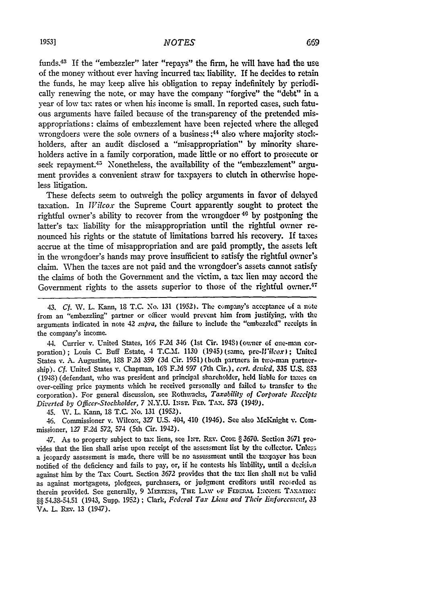funds.43 If the "embezzler" later "repays" the firm, he **wlU** have had the use of the money without ever having incurred tax liability. If he decides to retain the funds, he may keep alive his obligation to repay indefinitely **by** periodically renewing the note, or may have the company "forgive" the "debt" in a year of low tax rates or when his income is small. In reported cases, such fatuous arguments have failed because of the transparency of the pretended misappropriations: claims of embezzlement have been rejected where the alleged wrongdoers were the sole owners of a business;<sup>44</sup> also where majority stockholders, after an audit disclosed a "misappropriation" by minority shareholders active in a family corporation, made little or no effort to prosecute or seek repayment.<sup>45</sup> Nonetheless, the availability of the "embezzlement" argument provides a convenient straw for taxpayers to clutch in otherwise hopeless litigation.

These defects seem to outweigh the policy arguments in favor of delayed taxation. In *Wilcox* the Supreme Court apparently sought to protect the rightful owner's ability to recover from the wrongdoer<sup>46</sup> by postponing the latter's tax liability for the misappropriation until the rightful owner renounced his rights or the statute of limitations barred his recovery. If taxes accrue at the time of misappropriation and are paid promptly, the assets left in the wrongdoer's hands may prove insufficient to satisfy the rightful owner's claim. When the taxes are not paid and the wrongdoer's assets cannot satisfy the claims of both the Government and the victim, a tax lien may accord the Government rights to the assets superior to those of the rightful owner.<sup>47</sup>

44. Currier v. United States, 166 F2d 346 (1st Cir. 1948) (owner of one-man corporation); Louis C. Buff Estate, 4 T.C.M. 1130 (1945) (same, *pre-Wilcox);* United States v. A. Augustine, 188 F.2d 359 (3d Cir. 1951) (both partners in two-man partnership). *Cf.* United States **v.** Chapman, **163** F.2d 997 (7th Cir.), *cert. denied,* 335 U.S. **S53** (1948) (defendant, who was president and principal shareholder, held liable for **taxes** on over-ceiling price payments which he received personally and failed to transfer to the corporation). For general discussion, see Rothwacks, *Taxability of Corporate Receipts Diverted by Officer-Stockholder,* 7 N.Y.U. **INsT. FED. TAx.** 573 (1949).

45. W. L. Kann, **18** T.C. No. 131 (1952).

46. Commissioner v. Wilcox, 327 U.S. 404, 410 (1946). See also MeKnight v. Commissioner, 127 F.2d *572,* 574 (5th Cir. 1942).

47. As to property subject to tax liens, see INT. REV. CODE § 3670. Section 3671 provides that the lien shall arise upon receipt of the assessment list by the collector. Unless a jeopardy assessment is made, there will be no assessment until the taxpayer has ben notified of the deficiency and fails to pay, or, if he contests his liability, until a deision against him by the Tax Court. Section 3672 provides that the tax lien shall not be valid as against mortgagees, pledgees, purchasers, or judgment creditors until recorded as therein provided. See generally, 9 MERTENS, THE LAW OF FEDERAL INCOME TAXATION §§ 54.38-54.51 (1943, Supp. 1952) ; Clark, *Federal Tax Liens and Their Enforcement*, 33 VA. L. REV. 13 (1947).

<sup>43.</sup> *Cf.* W. L. Kann, **IS** T.C. No. 131 (1952). The company's acceptance uf a note from an "embezzling" partner or officer would prevent him from justifying, with the arguments indicated in note 42 *supra*, the failure to include the "embezzled" receipts in the company's income.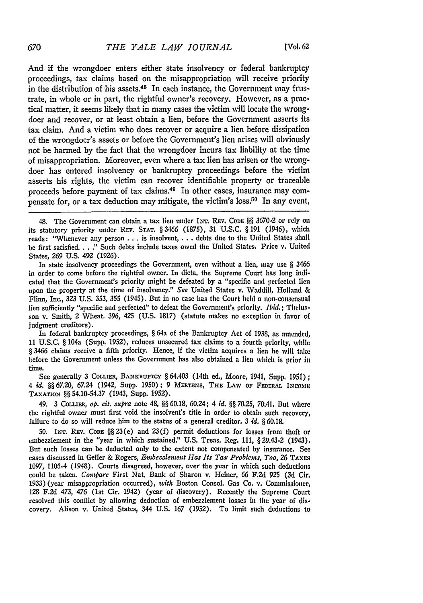And if the wrongdoer enters either state insolvency or federal bankruptcy proceedings, tax claims based on the misappropriation will receive priority in the distribution of his assets.48 In each instance, the Government may frustrate, in whole or in part, the rightful owner's recovery. However, as a practical matter, it seems likely that in many cases the victim will locate the wrongdoer and recover, or at least obtain a lien, before the Government asserts its tax claim. And a victim who does recover or acquire a lien before dissipation of the wrongdoer's assets or before the Government's lien arises will obviously not be harmed by the fact that the wrongdoer incurs tax liability at the time of misappropriation. Moreover, even where a tax lien has arisen or the wrongdoer has entered insolvency or bankruptcy proceedings before the victim asserts his rights, the victim can recover identifiable property or traceable proceeds before payment of tax claims.40 In other cases, insurance may compensate for, or a tax deduction may mitigate, the victim's loss.<sup>50</sup> In any event,

In state insolvency proceedings the Government, even without a lien, may use § 3466 in order to come before the rightful owner. In dicta, the Supreme Court has long indicated that the Government's priority might be defeated by a "specific and perfected lien upon the property at the time of insolvency." *See* United States v. Waddill, Holland & Flinn, Inc., **323** U.S. **353, 355** (1945). But in no case has the Court held a non-consensual lien sufficiently "specific and perfected" to defeat the Government's priority. *Ibid.;* Thelusson v. Smith, 2 Wheat. 396, 425 (U.S. 1817) (statute makes no exception in favor of iudgment creditors).

In federal bankruptcy proceedings, § 64a of the Bankruptcy Act of 1938, as amended, 11 U.S.C. § 104a (Supp. 1952), reduces unsecured tax claims to a fourth priority, while § 3466 claims receive a fifth priority. Hence, if the victim acquires a lien he will take before the Government unless the Government has also obtained a lien which is prior in time.

See generally 3 COLLIER, BANKRUPTCY § 64.403 (14th ed., Moore, 1941, Supp. 1951); 4 *id.* §§67.20, 67.24 (1942, Supp. 1950); 9 MERTENS, THE LAW OF FEDERAL INCOME **TAxATIoN** §§ 54.10-54.37 (1943, Supp. 1952).

49. 3 CoLLIER, *op. cit. supra* note 48, **§§** 60.18, 60.24; 4 *id. §§* **70.25,** 70.41. But **where** the rightful owner must first void the insolvent's title in order to obtain such recovery, failure to do so will reduce him to the status of a general creditor. *3 id. §* 60.18.

50. INT. **Ray. CODE** §§23(e) and 23(f) permit deductions **for** losses from theft or embezzlement in the "year in which sustained." U.S. Treas. Reg. 111, § 29.43-2 (1943). But such losses can be deducted only to the extent not compensated by insurance. **See** cases discussed in Geller & Rogers, *Embezzlement Has Its Tax Problenms, Too,* **26 TAxEs** 1097, 1103-4 (1948). Courts disagreed, however, over the year in which such deductions could be taken. *Compare* First Nat. Bank of Sharon v. Heiner, 66 F.2d 925 (3d Cir. 1933) (year misappropriation occurred), *with* Boston Consol. Gas Co. v. Commissioner, **128** F.2d 473, 476 (1st Cir. 1942) (year of discovery). Recently the Supreme Court resolved this conflict by allowing deduction of embezzlement losses in the year of discovery. Alison v. United States, 344 U.S. 167 (1952). To limit such deductions to

<sup>48.</sup> The Government can obtain a tax lien under INT. REv. CoDE **§§ 3670-2** or rely on its statutory priority under REv. **STAT. §** 3466 (1875), **31** U.S.C. § 191 (1946), which reads: "Whenever any person **. . .** is insolvent,... debts due to the United States shall be first satisfied. . . ." Such debts include taxes owed the United States, Price v. United States, 269 U.S. 492 (1926).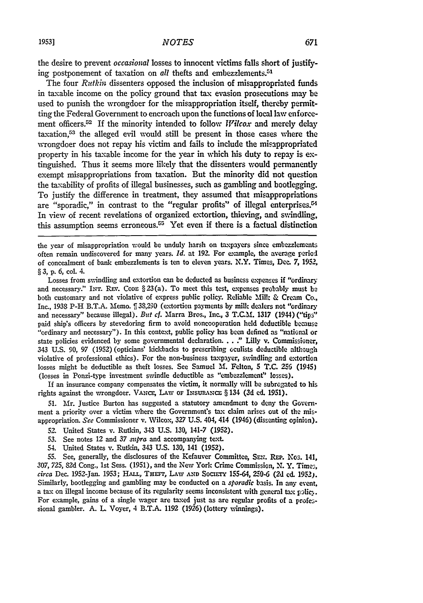the desire to prevent *occasional* losses to innocent victims falls short of justifying postponement of taxation on *all* thefts and embezzlements.<sup>51</sup>

The four *Rutkin* dissenters opposed the inclusion of misappropriated funds in taxable income on the policy ground that tax evasion prosecutions may be used to punish the wrongdoer for the misappropriation itself, thereby permitting the Federal Government to encroach upon the functions of local law enforcement officers.52 If the minority intended to follow *Wilcox* and merely delay taxation,53 the alleged evil would still be present in those cases where the wrongdoer does not repay his victim and fails to include the misappropriated property in his taxable income for the year in which his duty to repay is extinguished. Thus it seems more likely that the dissenters would permanently exempt misappropriations from taxation. But the minority did not question the taxability of profits of illegal businesses, such as gambling and bootlegging. To justify the difference in treatment, they assumed that misappropriations are "sporadic," in contrast to the "regular profits" of illegal enterprises.<sup>54</sup> In view of recent revelations of organized extortion, thieving, and swindling, this assumption seems erroneous.<sup> $55$ </sup> Yet even if there is a factual distinction

the year of misappropriation would be unduly harsh on taxpayers since embezzlements often remain undiscovered for many years. *Id.* at 192. For example, the average period of concealment of bank embezzlements is ten to eleven years. N.Y. Times, Dec. 7, 1952, § 3, p. 6, col. 4.

Losses from swindling and extortion can be deducted as business expenses if "ordinary and necessary." INT. REV. CODE § 23(a). To meet this test, expenses probably must be both customary and not violative of express public policy. Reliable Mill: & Cream **Co.,** Inc., 1938 P-H B.T.A. Memo.  $\int$  38,290 (extortion payments by milk dealers not "ordinary and necessary" because illegal). *But* cf. Marra Bros., Inc., 3 **T.C.M.** 1317 (1944) ("tips" paid ship's officers **by** stevedoring firm to avoid noncooperation held deductible **because** "ordinary and necessary"). In this context, public policy has been defined as "national or state policies evidenced **by** some governmental declaration... **."** Lilly v. Commissioner, 343 **U.S.** 90, 97 (1952) (opticians' kickbacks to prescribing oculists deductible although violative of professional ethics). For the non-business taxpayer, swindling and extortion losses might be deductible as theft losses. See Samuel **M1.** Felton, **5** T.C. 256 (1945) (losses in Ponzi-type investment swindle deductible as "embezzlement" losses).

If an insurance company compensates the victim, it normally will be subrogated to his rights against the wrongdoer. **VANCE,** LAW OF **INSURANCE** § 134 (3d **ed.** 1951).

51. Mr. Justice Burton has suggested a statutory amendment to deny the Government a priority over a victim where the Government's tax claim arises out of the misappropriation. *See* Commissioner v. Wilcox, 327 **U.S.** 404, 414 (1946) (dissenting opinion).

- 52. United States v. Rutkin, 343 U.S. 130, 141-7 (1952).
- **53.** See notes 12 and 37 *supra* and accompanying text.
- 54. United States v. Rutkin, 343 **U.S.** 130, 141 (1952).

55. See, generally, the disclosures of the Kefauver Committee, **SEN.** REP. Nos. 141, 307, 725, 82d Cong., 1st Sess. (1951), and the New York Crime Commission, **N.** Y. Times, *circa* Dec. 1952-Jan. **1953;** HALL, THEFT, LAW **AND** SOCwrv 155-64, **250-6** (24 **ed. 1952j.** Similarly, bootlegging and gambling may be conducted on a *sporadic* basis. In any event, a tax on illegal income because of its regularity seems inconsistent with general tax policy. For example, gains of a single wager are taxed just as are regular profits of a professional gambler. **A.** L Voyer, 4 B.T.A. 1192 (1926) (lottery winnings).